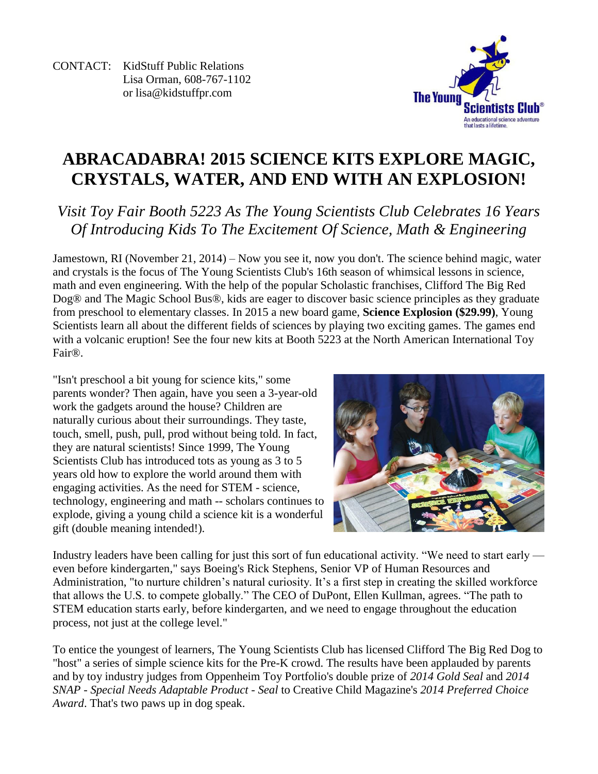CONTACT: KidStuff Public Relations Lisa Orman, 608-767-1102 or [lisa@kidstuffpr.com](mailto:lisa@kidstuffpr.com)



# **ABRACADABRA! 2015 SCIENCE KITS EXPLORE MAGIC, CRYSTALS, WATER, AND END WITH AN EXPLOSION!**

## *Visit Toy Fair Booth 5223 As The Young Scientists Club Celebrates 16 Years Of Introducing Kids To The Excitement Of Science, Math & Engineering*

Jamestown, RI (November 21, 2014) – Now you see it, now you don't. The science behind magic, water and crystals is the focus of The Young Scientists Club's 16th season of whimsical lessons in science, math and even engineering. With the help of the popular Scholastic franchises, Clifford The Big Red Dog® and The Magic School Bus®, kids are eager to discover basic science principles as they graduate from preschool to elementary classes. In 2015 a new board game, **Science Explosion (\$29.99)**, Young Scientists learn all about the different fields of sciences by playing two exciting games. The games end with a volcanic eruption! See the four new kits at Booth 5223 at the North American International Toy Fair®.

"Isn't preschool a bit young for science kits," some parents wonder? Then again, have you seen a 3-year-old work the gadgets around the house? Children are naturally curious about their surroundings. They taste, touch, smell, push, pull, prod without being told. In fact, they are natural scientists! Since 1999, The Young Scientists Club has introduced tots as young as 3 to 5 years old how to explore the world around them with engaging activities. As the need for STEM - science, technology, engineering and math -- scholars continues to explode, giving a young child a science kit is a wonderful gift (double meaning intended!).



Industry leaders have been calling for just this sort of fun educational activity. "We need to start early even before kindergarten," says Boeing's Rick Stephens, Senior VP of Human Resources and Administration, "to nurture children's natural curiosity. It's a first step in creating the skilled workforce that allows the U.S. to compete globally." The CEO of DuPont, Ellen Kullman, agrees. "The path to STEM education starts early, before kindergarten, and we need to engage throughout the education process, not just at the college level."

To entice the youngest of learners, The Young Scientists Club has licensed Clifford The Big Red Dog to "host" a series of simple science kits for the Pre-K crowd. The results have been applauded by parents and by toy industry judges from Oppenheim Toy Portfolio's double prize of *2014 Gold Seal* and *2014 SNAP - Special Needs Adaptable Product - Seal* to Creative Child Magazine's *2014 Preferred Choice Award*. That's two paws up in dog speak.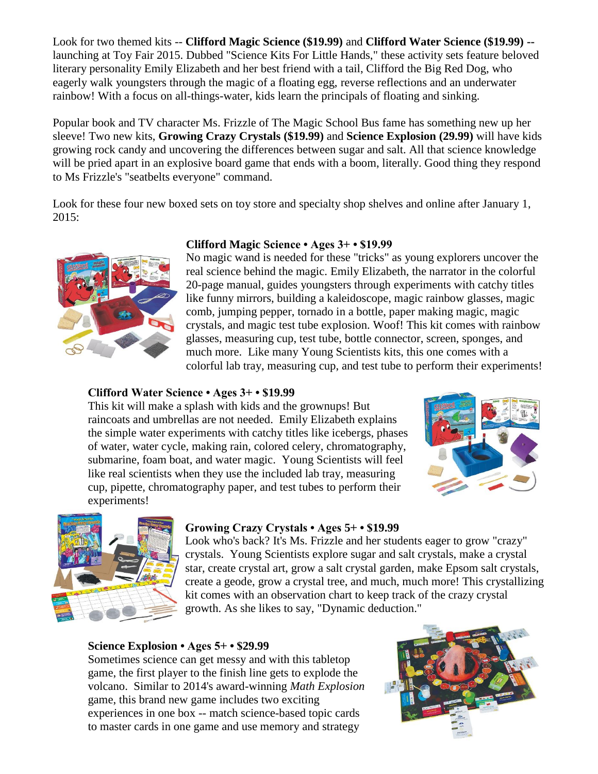Look for two themed kits -- **Clifford Magic Science (\$19.99)** and **Clifford Water Science (\$19.99) -** launching at Toy Fair 2015. Dubbed "Science Kits For Little Hands," these activity sets feature beloved literary personality Emily Elizabeth and her best friend with a tail, Clifford the Big Red Dog, who eagerly walk youngsters through the magic of a floating egg, reverse reflections and an underwater rainbow! With a focus on all-things-water, kids learn the principals of floating and sinking.

Popular book and TV character Ms. Frizzle of The Magic School Bus fame has something new up her sleeve! Two new kits, **Growing Crazy Crystals (\$19.99)** and **Science Explosion (29.99)** will have kids growing rock candy and uncovering the differences between sugar and salt. All that science knowledge will be pried apart in an explosive board game that ends with a boom, literally. Good thing they respond to Ms Frizzle's "seatbelts everyone" command.

Look for these four new boxed sets on toy store and specialty shop shelves and online after January 1, 2015:



#### **Clifford Magic Science • Ages 3+ • \$19.99**

No magic wand is needed for these "tricks" as young explorers uncover the real science behind the magic. Emily Elizabeth, the narrator in the colorful 20-page manual, guides youngsters through experiments with catchy titles like funny mirrors, building a kaleidoscope, magic rainbow glasses, magic comb, jumping pepper, tornado in a bottle, paper making magic, magic crystals, and magic test tube explosion. Woof! This kit comes with rainbow glasses, measuring cup, test tube, bottle connector, screen, sponges, and much more. Like many Young Scientists kits, this one comes with a colorful lab tray, measuring cup, and test tube to perform their experiments!

#### **Clifford Water Science • Ages 3+ • \$19.99**

This kit will make a splash with kids and the grownups! But raincoats and umbrellas are not needed. Emily Elizabeth explains the simple water experiments with catchy titles like icebergs, phases of water, water cycle, making rain, colored celery, chromatography, submarine, foam boat, and water magic. Young Scientists will feel like real scientists when they use the included lab tray, measuring cup, pipette, chromatography paper, and test tubes to perform their experiments!





#### **Growing Crazy Crystals • Ages 5+ • \$19.99**

Look who's back? It's Ms. Frizzle and her students eager to grow "crazy" crystals. Young Scientists explore sugar and salt crystals, make a crystal star, create crystal art, grow a salt crystal garden, make Epsom salt crystals, create a geode, grow a crystal tree, and much, much more! This crystallizing kit comes with an observation chart to keep track of the crazy crystal growth. As she likes to say, "Dynamic deduction."

#### **Science Explosion • Ages 5+ • \$29.99**

Sometimes science can get messy and with this tabletop game, the first player to the finish line gets to explode the volcano. Similar to 2014's award-winning *Math Explosion* game, this brand new game includes two exciting experiences in one box -- match science-based topic cards to master cards in one game and use memory and strategy